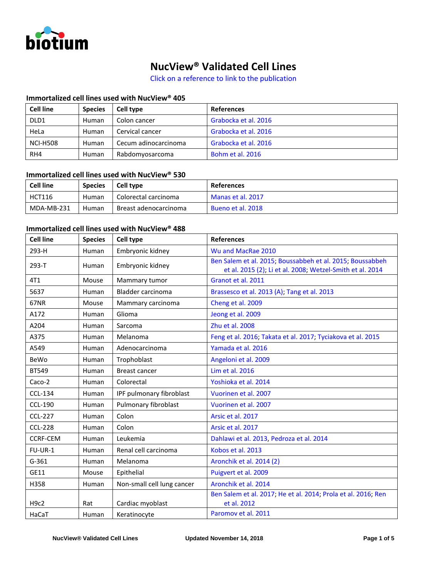

# **NucView® Validated Cell Lines**

Click on a reference to link to the publication

## **Immortalized cell lines used with NucView® 405**

| <b>Cell line</b> | <b>Species</b> | Cell type            | <b>References</b>    |
|------------------|----------------|----------------------|----------------------|
| DLD1             | Human          | Colon cancer         | Grabocka et al. 2016 |
| HeLa             | Human          | Cervical cancer      | Grabocka et al. 2016 |
| <b>NCI-H508</b>  | Human          | Cecum adinocarcinoma | Grabocka et al. 2016 |
| RH4              | Human          | Rabdomyosarcoma      | Bohm et al. 2016     |

## **Immortalized cell lines used with NucView® 530**

| <b>Cell line</b> | <b>Species</b> | Cell type             | <b>References</b> |
|------------------|----------------|-----------------------|-------------------|
| <b>HCT116</b>    | Human          | Colorectal carcinoma  | Manas et al. 2017 |
| MDA-MB-231       | Human          | Breast adenocarcinoma | Bueno et al. 2018 |

#### **Immortalized cell lines used with NucView® 488**

| <b>Cell line</b> | <b>Species</b> | <b>Cell type</b>           | <b>References</b>                                                                                                      |
|------------------|----------------|----------------------------|------------------------------------------------------------------------------------------------------------------------|
| 293-H            | Human          | Embryonic kidney           | Wu and MacRae 2010                                                                                                     |
| 293-T            | Human          | Embryonic kidney           | Ben Salem et al. 2015; Boussabbeh et al. 2015; Boussabbeh<br>et al. 2015 (2); Li et al. 2008; Wetzel-Smith et al. 2014 |
| 4T1              | Mouse          | Mammary tumor              | Granot et al. 2011                                                                                                     |
| 5637             | Human          | Bladder carcinoma          | Brassesco et al. 2013 (A); Tang et al. 2013                                                                            |
| <b>67NR</b>      | Mouse          | Mammary carcinoma          | Cheng et al. 2009                                                                                                      |
| A172             | Human          | Glioma                     | Jeong et al. 2009                                                                                                      |
| A204             | Human          | Sarcoma                    | Zhu et al. 2008                                                                                                        |
| A375             | Human          | Melanoma                   | Feng et al. 2016, Takata et al. 2017; Tyciakova et al. 2015                                                            |
| A549             | Human          | Adenocarcinoma             | Yamada et al. 2016                                                                                                     |
| BeWo             | Human          | Trophoblast                | Angeloni et al. 2009                                                                                                   |
| <b>BT549</b>     | Human          | <b>Breast cancer</b>       | Lim et al. 2016                                                                                                        |
| $Caco-2$         | Human          | Colorectal                 | Yoshioka et al. 2014                                                                                                   |
| CCL-134          | Human          | IPF pulmonary fibroblast   | Vuorinen et al. 2007                                                                                                   |
| <b>CCL-190</b>   | Human          | Pulmonary fibroblast       | Vuorinen et al. 2007                                                                                                   |
| <b>CCL-227</b>   | Human          | Colon                      | Arsic et al. 2017                                                                                                      |
| <b>CCL-228</b>   | Human          | Colon                      | Arsic et al. 2017                                                                                                      |
| <b>CCRF-CEM</b>  | Human          | Leukemia                   | Dahlawi et al. 2013, Pedroza et al. 2014                                                                               |
| FU-UR-1          | Human          | Renal cell carcinoma       | Kobos et al. 2013                                                                                                      |
| $G-361$          | Human          | Melanoma                   | Aronchik et al. 2014 (2)                                                                                               |
| GE11             | Mouse          | Epithelial                 | Puigvert et al. 2009                                                                                                   |
| H358             | Human          | Non-small cell lung cancer | Aronchik et al. 2014                                                                                                   |
| H9c2             | Rat            | Cardiac myoblast           | Ben Salem et al. 2017; He et al. 2014; Prola et al. 2016; Ren<br>et al. 2012                                           |
| HaCaT            | Human          | Keratinocyte               | Paromov et al. 2011                                                                                                    |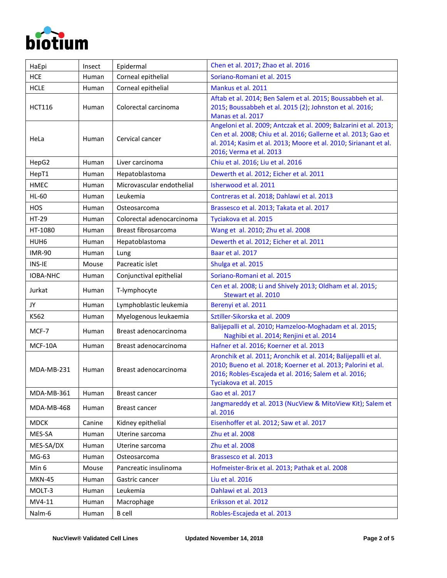

| HaEpi            | Insect | Epidermal                 | Chen et al. 2017; Zhao et al. 2016                                                                                                                                                                                                  |
|------------------|--------|---------------------------|-------------------------------------------------------------------------------------------------------------------------------------------------------------------------------------------------------------------------------------|
| <b>HCE</b>       | Human  | Corneal epithelial        | Soriano-Romani et al. 2015                                                                                                                                                                                                          |
| <b>HCLE</b>      | Human  | Corneal epithelial        | Mankus et al. 2011                                                                                                                                                                                                                  |
| <b>HCT116</b>    | Human  | Colorectal carcinoma      | Aftab et al. 2014; Ben Salem et al. 2015; Boussabbeh et al.<br>2015; Boussabbeh et al. 2015 (2); Johnston et al. 2016;<br>Manas et al. 2017                                                                                         |
| HeLa             | Human  | Cervical cancer           | Angeloni et al. 2009; Antczak et al. 2009; Balzarini et al. 2013;<br>Cen et al. 2008; Chiu et al. 2016; Gallerne et al. 2013; Gao et<br>al. 2014; Kasim et al. 2013; Moore et al. 2010; Sirianant et al.<br>2016; Verma et al. 2013 |
| HepG2            | Human  | Liver carcinoma           | Chiu et al. 2016; Liu et al. 2016                                                                                                                                                                                                   |
| HepT1            | Human  | Hepatoblastoma            | Dewerth et al. 2012; Eicher et al. 2011                                                                                                                                                                                             |
| <b>HMEC</b>      | Human  | Microvascular endothelial | Isherwood et al. 2011                                                                                                                                                                                                               |
| <b>HL-60</b>     | Human  | Leukemia                  | Contreras et al. 2018; Dahlawi et al. 2013                                                                                                                                                                                          |
| <b>HOS</b>       | Human  | Osteosarcoma              | Brassesco et al. 2013; Takata et al. 2017                                                                                                                                                                                           |
| <b>HT-29</b>     | Human  | Colorectal adenocarcinoma | Tyciakova et al. 2015                                                                                                                                                                                                               |
| HT-1080          | Human  | Breast fibrosarcoma       | Wang et al. 2010; Zhu et al. 2008                                                                                                                                                                                                   |
| HUH <sub>6</sub> | Human  | Hepatoblastoma            | Dewerth et al. 2012; Eicher et al. 2011                                                                                                                                                                                             |
| <b>IMR-90</b>    | Human  | Lung                      | Baar et al. 2017                                                                                                                                                                                                                    |
| <b>INS-IE</b>    | Mouse  | Pacreatic islet           | Shulga et al. 2015                                                                                                                                                                                                                  |
| IOBA-NHC         | Human  | Conjunctival epithelial   | Soriano-Romani et al. 2015                                                                                                                                                                                                          |
| Jurkat           | Human  | T-lymphocyte              | Cen et al. 2008; Li and Shively 2013; Oldham et al. 2015;<br>Stewart et al. 2010                                                                                                                                                    |
| JY               | Human  | Lymphoblastic leukemia    | Berenyi et al. 2011                                                                                                                                                                                                                 |
| K562             | Human  | Myelogenous leukaemia     | Sztiller-Sikorska et al. 2009                                                                                                                                                                                                       |
| MCF-7            | Human  | Breast adenocarcinoma     | Balijepalli et al. 2010; Hamzeloo-Moghadam et al. 2015;<br>Naghibi et al. 2014; Renjini et al. 2014                                                                                                                                 |
| MCF-10A          | Human  | Breast adenocarcinoma     | Hafner et al. 2016; Koerner et al. 2013                                                                                                                                                                                             |
| MDA-MB-231       | Human  | Breast adenocarcinoma     | Aronchik et al. 2011; Aronchik et al. 2014; Balijepalli et al.<br>2010; Bueno et al. 2018; Koerner et al. 2013; Palorini et al.<br>2016; Robles-Escajeda et al. 2016; Salem et al. 2016;<br>Tyciakova et al. 2015                   |
| MDA-MB-361       | Human  | Breast cancer             | Gao et al. 2017                                                                                                                                                                                                                     |
| MDA-MB-468       | Human  | <b>Breast cancer</b>      | Jangmareddy et al. 2013 (NucView & MitoView Kit); Salem et<br>al. 2016                                                                                                                                                              |
| <b>MDCK</b>      | Canine | Kidney epithelial         | Eisenhoffer et al. 2012; Saw et al. 2017                                                                                                                                                                                            |
| MES-SA           | Human  | Uterine sarcoma           | Zhu et al. 2008                                                                                                                                                                                                                     |
| MES-SA/DX        | Human  | Uterine sarcoma           | Zhu et al. 2008                                                                                                                                                                                                                     |
| MG-63            | Human  | Osteosarcoma              | Brassesco et al. 2013                                                                                                                                                                                                               |
| Min 6            | Mouse  | Pancreatic insulinoma     | Hofmeister-Brix et al. 2013; Pathak et al. 2008                                                                                                                                                                                     |
| <b>MKN-45</b>    | Human  | Gastric cancer            | Liu et al. 2016                                                                                                                                                                                                                     |
| MOLT-3           | Human  | Leukemia                  | Dahlawi et al. 2013                                                                                                                                                                                                                 |
| MV4-11           | Human  | Macrophage                | Eriksson et al. 2012                                                                                                                                                                                                                |
| Nalm-6           | Human  | <b>B</b> cell             | Robles-Escajeda et al. 2013                                                                                                                                                                                                         |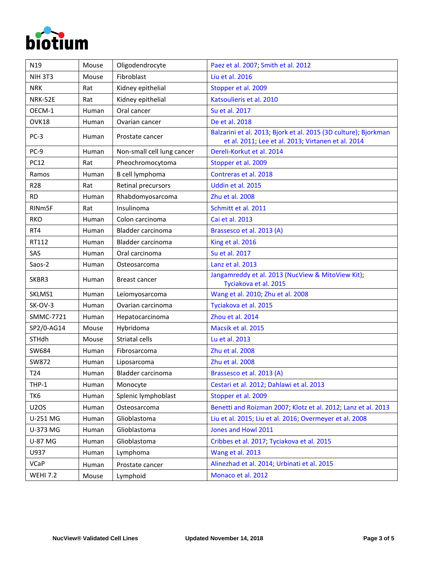

| N <sub>19</sub>    | Mouse        | Oligodendrocyte            | Paez et al. 2007; Smith et al. 2012                                                                                   |
|--------------------|--------------|----------------------------|-----------------------------------------------------------------------------------------------------------------------|
| <b>NIH 3T3</b>     | Mouse        | Fibroblast                 | Liu et al. 2016                                                                                                       |
| <b>NRK</b>         | Rat          | Kidney epithelial          | Stopper et al. 2009                                                                                                   |
| <b>NRK-52E</b>     | Rat          | Kidney epithelial          | Katsoulieris et al. 2010                                                                                              |
| OECM-1             | Human        | Oral cancer                | Su et al. 2017                                                                                                        |
| OVK18              | Human        | Ovarian cancer             | De et al. 2018                                                                                                        |
| $PC-3$             | Human        | Prostate cancer            | Balzarini et al. 2013; Bjork et al. 2015 (3D culture); Bjorkman<br>et al. 2011; Lee et al. 2013; Virtanen et al. 2014 |
| PC-9               | Human        | Non-small cell lung cancer | Dereli-Korkut et al. 2014                                                                                             |
| <b>PC12</b>        | Rat          | Pheochromocytoma           | Stopper et al. 2009                                                                                                   |
| Ramos              | Human        | B cell lymphoma            | Contreras et al. 2018                                                                                                 |
| R28                | Rat          | Retinal precursors         | Uddin et al. 2015                                                                                                     |
| <b>RD</b>          | Human        | Rhabdomyosarcoma           | Zhu et al. 2008                                                                                                       |
| RIN <sub>m5F</sub> | Rat          | Insulinoma                 | Schmitt et al. 2011                                                                                                   |
| <b>RKO</b>         | Human        | Colon carcinoma            | Cai et al. 2013                                                                                                       |
| RT4                | Human        | Bladder carcinoma          | Brassesco et al. 2013 (A)                                                                                             |
| RT112              | Human        | Bladder carcinoma          | King et al. 2016                                                                                                      |
| SAS                | Human        | Oral carcinoma             | Su et al. 2017                                                                                                        |
| Saos-2             | Human        | Osteosarcoma               | Lanz et al. 2013                                                                                                      |
| SKBR3              | Human        | Breast cancer              | Jangamreddy et al. 2013 (NucView & MitoView Kit);<br>Tyciakova et al. 2015                                            |
| SKLMS1             | Human        | Leiomyosarcoma             | Wang et al. 2010; Zhu et al. 2008                                                                                     |
| SK-OV-3            | Human        | Ovarian carcinoma          | Tyciakova et al. 2015                                                                                                 |
| <b>SMMC-7721</b>   | <b>Human</b> | Hepatocarcinoma            | Zhou et al. 2014                                                                                                      |
| SP2/0-AG14         | Mouse        | Hybridoma                  | Macsik et al. 2015                                                                                                    |
| STHdh              | Mouse        | Striatal cells             | Lu et al. 2013                                                                                                        |
| SW684              | Human        | Fibrosarcoma               | Zhu et al. 2008                                                                                                       |
| SW872              | Human        | Liposarcoma                | Zhu et al. 2008                                                                                                       |
| T <sub>24</sub>    | Human        | Bladder carcinoma          | Brassesco et al. 2013 (A)                                                                                             |
| THP-1              | Human        | Monocyte                   | Cestari et al. 2012; Dahlawi et al. 2013                                                                              |
| TK6                | Human        | Splenic lymphoblast        | Stopper et al. 2009                                                                                                   |
| <b>U2OS</b>        | Human        | Osteosarcoma               | Benetti and Roizman 2007; Klotz et al. 2012; Lanz et al. 2013                                                         |
| U-251 MG           | Human        | Glioblastoma               | Liu et al. 2015; Liu et al. 2016; Overmeyer et al. 2008                                                               |
| U-373 MG           | Human        | Glioblastoma               | Jones and Howl 2011                                                                                                   |
| <b>U-87 MG</b>     | Human        | Glioblastoma               | Cribbes et al. 2017; Tyciakova et al. 2015                                                                            |
| U937               | Human        | Lymphoma                   | Wang et al. 2013                                                                                                      |
| VCaP               | Human        | Prostate cancer            | Alinezhad et al. 2014; Urbinati et al. 2015                                                                           |
| <b>WEHI 7.2</b>    | Mouse        | Lymphoid                   | Monaco et al. 2012                                                                                                    |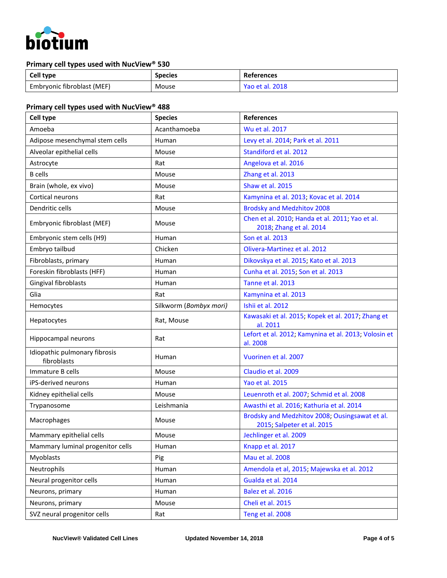

#### **Primary cell types used with NucView® 530**

| Cell type                  | <b>Species</b> | <b>References</b> |
|----------------------------|----------------|-------------------|
| Embryonic fibroblast (MEF) | Mouse          | Yao et al. 2018   |

# **Primary cell types used with NucView® 488**

| <b>Cell type</b>                             | <b>Species</b>         | <b>References</b>                                                            |
|----------------------------------------------|------------------------|------------------------------------------------------------------------------|
| Amoeba                                       | Acanthamoeba           | Wu et al. 2017                                                               |
| Adipose mesenchymal stem cells               | Human                  | Levy et al. 2014; Park et al. 2011                                           |
| Alveolar epithelial cells                    | Mouse                  | Standiford et al. 2012                                                       |
| Astrocyte                                    | Rat                    | Angelova et al. 2016                                                         |
| <b>B</b> cells                               | Mouse                  | Zhang et al. 2013                                                            |
| Brain (whole, ex vivo)                       | Mouse                  | Shaw et al. 2015                                                             |
| Cortical neurons                             | Rat                    | Kamynina et al. 2013; Kovac et al. 2014                                      |
| Dendritic cells                              | Mouse                  | <b>Brodsky and Medzhitov 2008</b>                                            |
| Embryonic fibroblast (MEF)                   | Mouse                  | Chen et al. 2010; Handa et al. 2011; Yao et al.<br>2018; Zhang et al. 2014   |
| Embryonic stem cells (H9)                    | Human                  | Son et al. 2013                                                              |
| Embryo tailbud                               | Chicken                | Olivera-Martinez et al. 2012                                                 |
| Fibroblasts, primary                         | Human                  | Dikovskya et al. 2015; Kato et al. 2013                                      |
| Foreskin fibroblasts (HFF)                   | Human                  | Cunha et al. 2015; Son et al. 2013                                           |
| Gingival fibroblasts                         | Human                  | Tanne et al. 2013                                                            |
| Glia                                         | Rat                    | Kamynina et al. 2013                                                         |
| Hemocytes                                    | Silkworm (Bombyx mori) | Ishii et al. 2012                                                            |
| Hepatocytes                                  | Rat, Mouse             | Kawasaki et al. 2015; Kopek et al. 2017; Zhang et<br>al. 2011                |
| Hippocampal neurons                          | Rat                    | Lefort et al. 2012; Kamynina et al. 2013; Volosin et<br>al. 2008             |
| Idiopathic pulmonary fibrosis<br>fibroblasts | Human                  | Vuorinen et al. 2007                                                         |
| Immature B cells                             | Mouse                  | Claudio et al. 2009                                                          |
| iPS-derived neurons                          | Human                  | Yao et al. 2015                                                              |
| Kidney epithelial cells                      | Mouse                  | Leuenroth et al. 2007; Schmid et al. 2008                                    |
| Trypanosome                                  | Leishmania             | Awasthi et al. 2016; Kathuria et al. 2014                                    |
| Macrophages                                  | Mouse                  | Brodsky and Medzhitov 2008; Ousingsawat et al.<br>2015; Salpeter et al. 2015 |
| Mammary epithelial cells                     | Mouse                  | Jechlinger et al. 2009                                                       |
| Mammary luminal progenitor cells             | Human                  | Knapp et al. 2017                                                            |
| Myoblasts                                    | Pig                    | <b>Mau et al. 2008</b>                                                       |
| Neutrophils                                  | Human                  | Amendola et al, 2015; Majewska et al. 2012                                   |
| Neural progenitor cells                      | Human                  | Gualda et al. 2014                                                           |
| Neurons, primary                             | Human                  | Balez et al. 2016                                                            |
| Neurons, primary                             | Mouse                  | Cheli et al. 2015                                                            |
| SVZ neural progenitor cells                  | Rat                    | Teng et al. 2008                                                             |